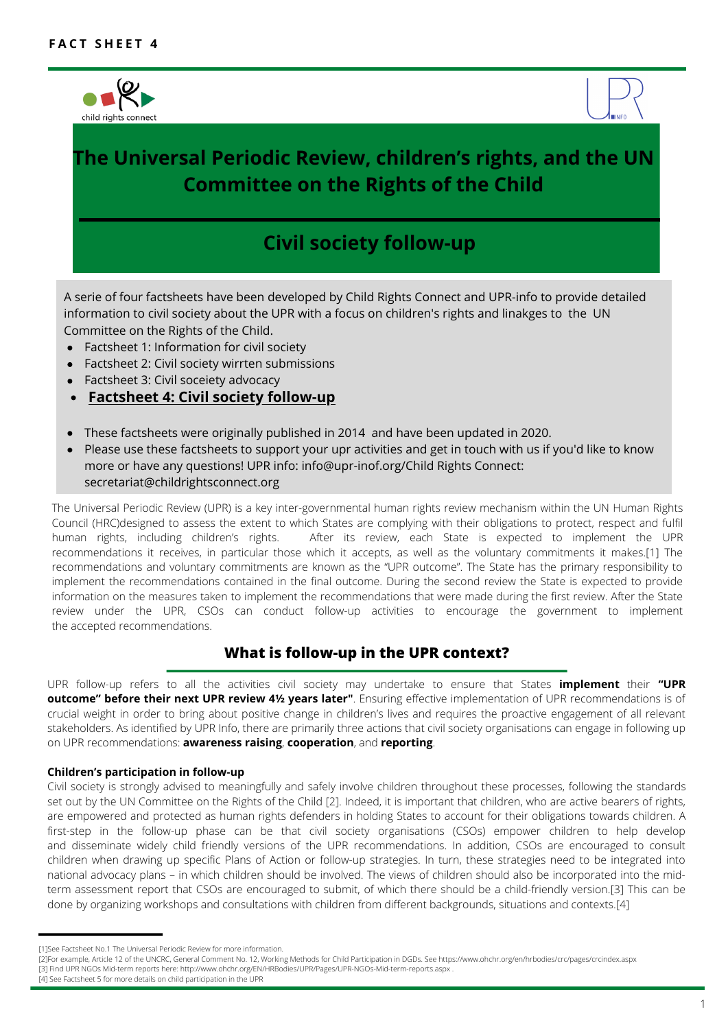



# **The Universal Periodic Review, children's rights, and the UN Committee on the Rights of the Child**

# **Civil society follow-up**

A serie of four factsheets have been developed by Child Rights Connect and UPR-info to provide detailed information to civil society about the UPR with a focus on children's rights and linakges to the UN Committee on the Rights of the Child.

- Factsheet 1: Information for civil society
- Factsheet 2: Civil society wirrten submissions
- Factsheet 3: Civil soceiety advocacy
- **Factsheet 4: Civil society follow-up**
- These factsheets were originally published in 2014 and have been updated in 2020.
- Please use these factsheets to support your upr activities and get in touch with us if you'd like to know more or have any questions! UPR info: info@upr-inof.org/Child Rights Connect: secretariat@childrightsconnect.org

The Universal Periodic Review (UPR) is a key inter-governmental human rights review mechanism within the UN Human Rights Council (HRC)designed to assess the extent to which States are complying with their obligations to protect, respect and fulfil human rights, including children's rights. After its review, each State is expected to implement the UPR recommendations it receives, in particular those which it accepts, as well as the voluntary commitments it makes.[1] The recommendations and voluntary commitments are known as the "UPR outcome". The State has the primary responsibility to implement the recommendations contained in the final outcome. During the second review the State is expected to provide information on the measures taken to implement the recommendations that were made during the first review. After the State review under the UPR, CSOs can conduct follow-up activities to encourage the government to implement the accepted recommendations.

# **What is follow-up in the UPR context?**

UPR follow-up refers to all the activities civil society may undertake to ensure that States **implement**  their **"UPR outcome" before their next UPR review 4½ years later"**. Ensuring effective implementation of UPR recommendations is of crucial weight in order to bring about positive change in children's lives and requires the proactive engagement of all relevant stakeholders. As identified by UPR Info, there are primarily three actions that civil society organisations can engage in following up on UPR recommendations: **awareness raising**, **cooperation**, and **reporting**.

### **Children's participation in follow-up**

. done by organizing workshops and consultations with children from different backgrounds, situations and contexts.[4] Civil society is strongly advised to meaningfully and safely involve children throughout these processes, following the standards set out by the UN Committee on the Rights of the Child [2]. Indeed, it is important that children, who are active bearers of rights, are empowered and protected as human rights defenders in holding States to account for their obligations towards children. A first-step in the follow-up phase can be that civil society organisations (CSOs) empower children to help develop and disseminate widely child friendly versions of the UPR recommendations. In addition, CSOs are encouraged to consult children when drawing up specific Plans of Action or follow-up strategies. In turn, these strategies need to be integrated into national advocacy plans – in which children should be involved. The views of children should also be incorporated into the midterm assessment report that CSOs are encouraged to submit, of which there should be a child-friendly version.[3] This can be

<sup>[1]</sup>See Factsheet No.1 The Universal Periodic Review for more information.

<sup>[2]</sup>For example, Article 12 of the UNCRC, General Comment No. 12, Working Methods for Child Participation in DGDs. See https://www.ohchr.org/en/hrbodies/crc/pages/crcindex.aspx [3] Find UPR NGOs Mid-term reports here: http://www.ohchr.org/EN/HRBodies/UPR/Pages/UPR-NGOs-Mid-term-reports.aspx .

<sup>[4]</sup> See Factsheet 5 for more details on child participation in the UPR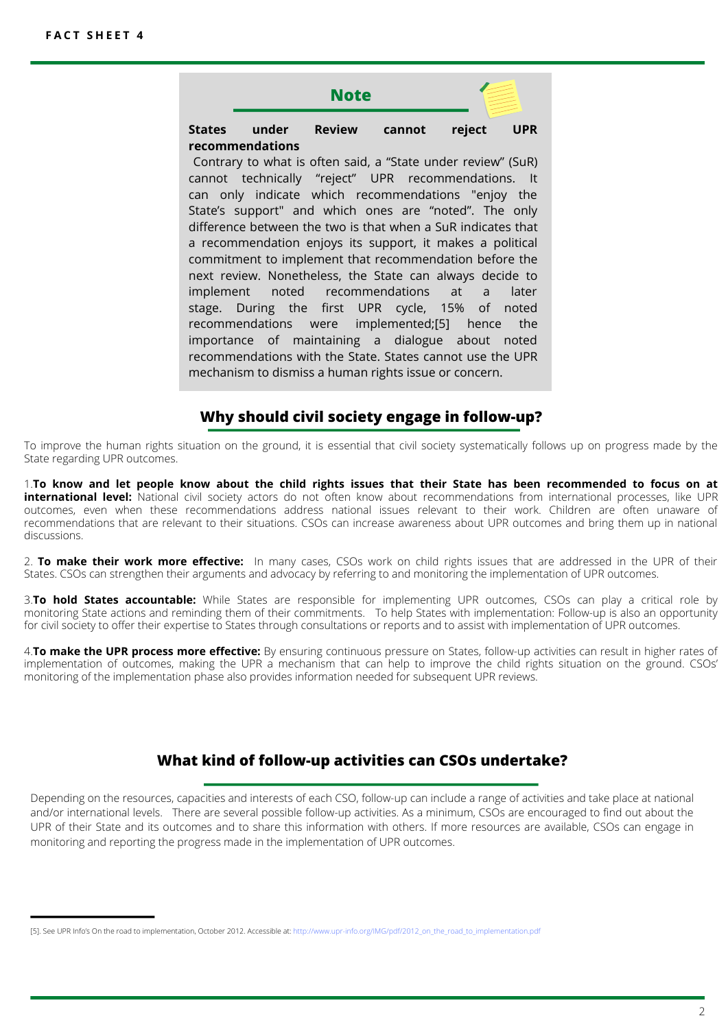# **Note States under Review cannot reject UPR recommendations**

Contrary to what is often said, a "State under review" (SuR) cannot technically "reject" UPR recommendations. It can only indicate which recommendations "enjoy the State's support" and which ones are "noted". The only difference between the two is that when a SuR indicates that a recommendation enjoys its support, it makes a political commitment to implement that recommendation before the next review. Nonetheless, the State can always decide to implement noted recommendations at a later stage. During the first UPR cycle, 15% of noted recommendations were implemented;[5] hence the importance of maintaining a dialogue about noted recommendations with the State. States cannot use the UPR mechanism to dismiss a human rights issue or concern.

# **Why should civil society engage in follow-up?**

To improve the human rights situation on the ground, it is essential that civil society systematically follows up on progress made by the State regarding UPR outcomes.

1.**To know and let people know about the child rights issues that their State has been recommended to focus on at international level:**  National civil society actors do not often know about recommendations from international processes, like UPR outcomes, even when these recommendations address national issues relevant to their work. Children are often unaware of recommendations that are relevant to their situations. CSOs can increase awareness about UPR outcomes and bring them up in national discussions.

2. **To make their work more effective:**  In many cases, CSOs work on child rights issues that are addressed in the UPR of their States. CSOs can strengthen their arguments and advocacy by referring to and monitoring the implementation of UPR outcomes.

3.**To hold States accountable:** While States are responsible for implementing UPR outcomes, CSOs can play a critical role by monitoring State actions and reminding them of their commitments. To help States with implementation: Follow-up is also an opportunity for civil society to offer their expertise to States through consultations or reports and to assist with implementation of UPR outcomes.

4.**To make the UPR process more effective:** By ensuring continuous pressure on States, follow-up activities can result in higher rates of implementation of outcomes, making the UPR a mechanism that can help to improve the child rights situation on the ground. CSOs' monitoring of the implementation phase also provides information needed for subsequent UPR reviews.

# **What kind of follow-up activities can CSOs undertake?**

Depending on the resources, capacities and interests of each CSO, follow-up can include a range of activities and take place at national and/or international levels. There are several possible follow-up activities. As a minimum, CSOs are encouraged to find out about the UPR of their State and its outcomes and to share this information with others. If more resources are available, CSOs can engage in monitoring and reporting the progress made in the implementation of UPR outcomes.

<sup>[5].</sup> See UPR Info's On the road to implementation, October 2012. Accessible at: http://www.upr-info.org/IMG/pdf/2012\_on\_the\_road\_to\_implementation.pdf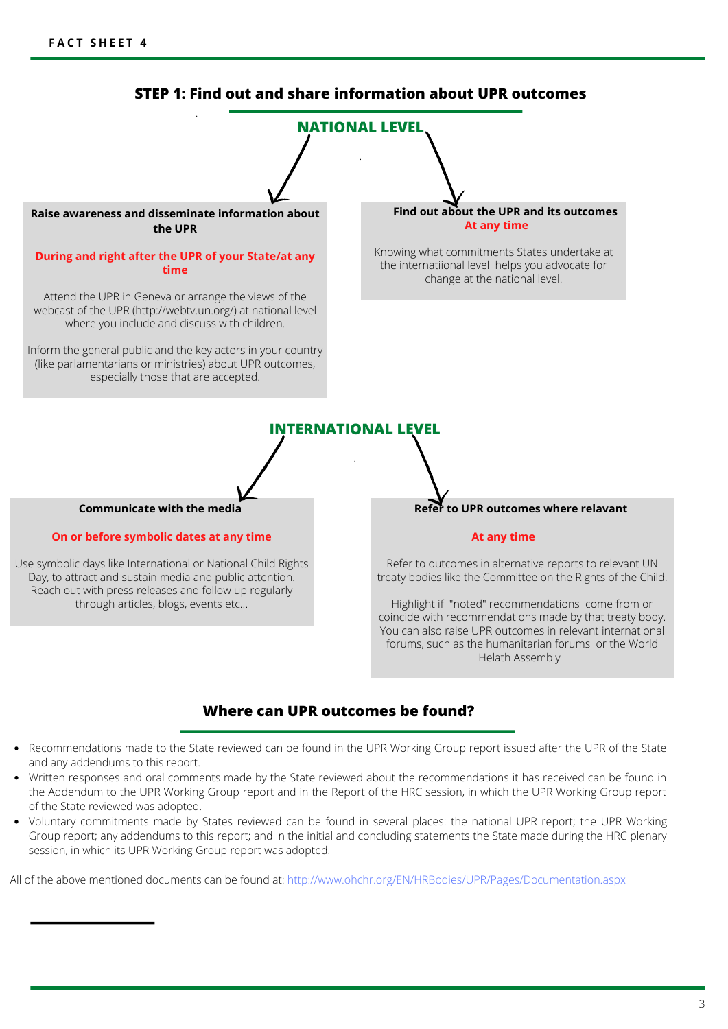

# **Where can UPR outcomes be found?**

- Recommendations made to the State reviewed can be found in the UPR Working Group report issued after the UPR of the State and any addendums to this report.
- Written responses and oral comments made by the State reviewed about the recommendations it has received can be found in the Addendum to the UPR Working Group report and in the Report of the HRC session, in which the UPR Working Group report of the State reviewed was adopted.
- Voluntary commitments made by States reviewed can be found in several places: the national UPR report; the UPR Working Group report; any addendums to this report; and in the initial and concluding statements the State made during the HRC plenary session, in which its UPR Working Group report was adopted.

All of the above mentioned documents can be found at: http://www.ohchr.org/EN/HRBodies/UPR/Pages/Documentation.aspx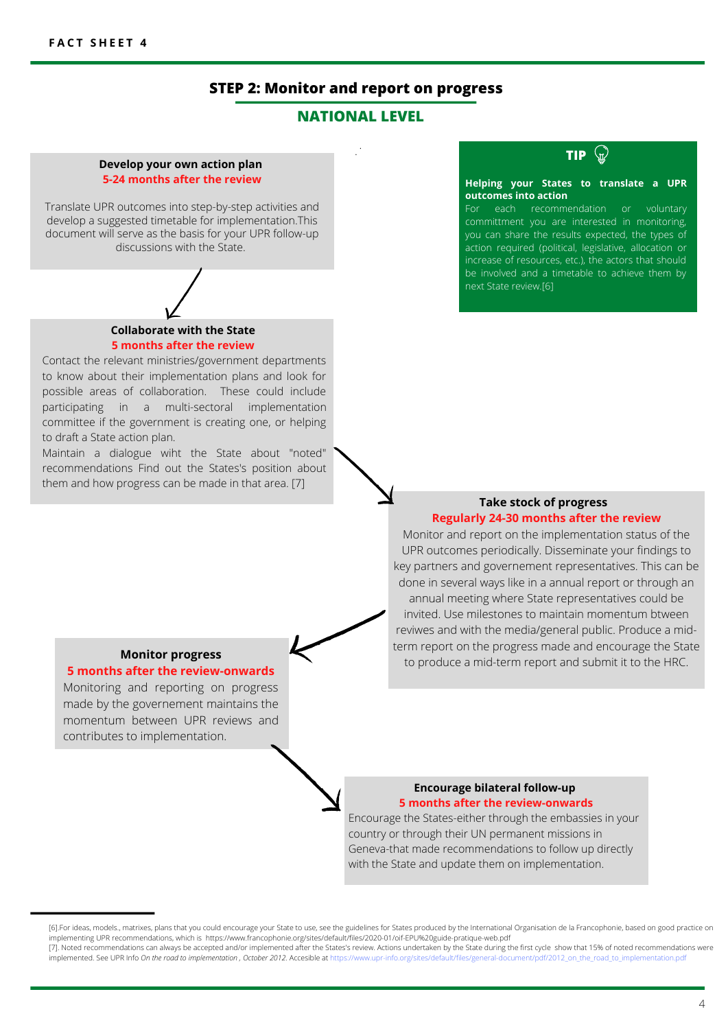# **STEP 2: Monitor and report on progress**

# **NATIONAL LEVEL**

.

.

#### **Develop your own action plan 5-24 months after the review**

Translate UPR outcomes into step-by-step activities and develop a suggested timetable for implementation.This document will serve as the basis for your UPR follow-up discussions with the State.



#### **Collaborate with the State 5 months after the review**

Contact the relevant ministries/government departments to know about their implementation plans and look for possible areas of collaboration. These could include participating in a multi-sectoral implementation committee if the government is creating one, or helping to draft a State action plan.

Maintain a dialogue wiht the State about "noted" recommendations Find out the States's position about them and how progress can be made in that area. [7]

# **TIP**

#### **Helping your States to translate a UPR outcomes into action**

For each recommendation or voluntary committment you are interested in monitoring, you can share the results expected, the types of action required (political, legislative, allocation or increase of resources, etc.), the actors that should be involved and a timetable to achieve them by next State review.[6]

## **Take stock of progress Regularly 24-30 months after the review**

Monitor and report on the implementation status of the UPR outcomes periodically. Disseminate your findings to key partners and governement representatives. This can be done in several ways like in a annual report or through an annual meeting where State representatives could be invited. Use milestones to maintain momentum btween reviwes and with the media/general public. Produce a midterm report on the progress made and encourage the State to produce a mid-term report and submit it to the HRC.

# **Monitor progress**

## **5 months after the review-onwards**

Monitoring and reporting on progress made by the governement maintains the momentum between UPR reviews and contributes to implementation.

#### **Encourage bilateral follow-up 5 months after the review-onwards**

Encourage the States-either through the embassies in your country or through their UN permanent missions in Geneva-that made recommendations to follow up directly with the State and update them on implementation.

<sup>[6].</sup>For ideas, models., matrixes, plans that you could encourage your State to use, see the guidelines for States produced by the International Organisation de la Francophonie, based on good practice on implementing UPR recommendations, which is https://www.francophonie.org/sites/default/files/2020-01/oif-EPU%20guide-pratique-web.pdf [7]. Noted recommendations can always be accepted and/or implemented after the States's review. Actions undertaken by the State during the first cycle show that 15% of noted recommendations were

implemented. See UPR Info *On the road to implementation , October 2012.* Accesible at https://www.upr-info.org/sites/default/files/general-document/pdf/2012\_on\_the\_road\_to\_implementation.pdf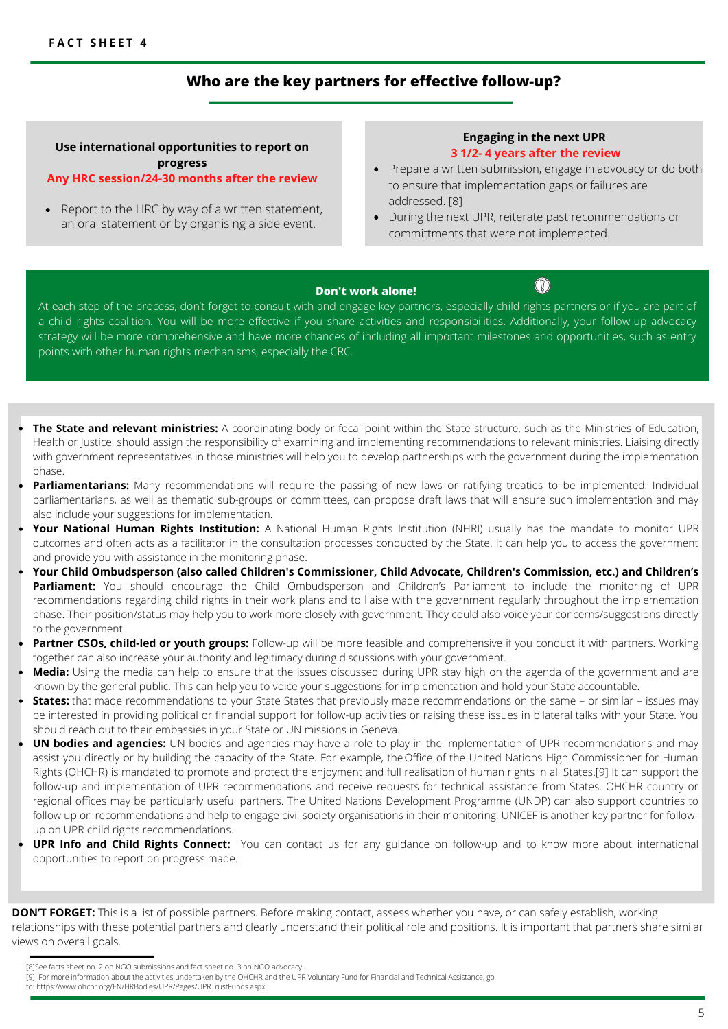# **Who are the key partners for effective follow-up?**

# **Use international opportunities to report on progress**

## **Any HRC session/24-30 months after the review**

• Report to the HRC by way of a written statement, an oral statement or by organising a side event.

## **Engaging in the next UPR 3 1/2- 4 years after the review**

- Prepare a written submission, engage in advocacy or do both to ensure that implementation gaps or failures are addressed. [8]
- During the next UPR, reiterate past recommendations or committments that were not implemented.

## **Don't work alone!**

 $\mathbb{O}$ 

At each step of the process, don't forget to consult with and engage key partners, especially child rights partners or if you are part of a child rights coalition. You will be more effective if you share activities and responsibilities. Additionally, your follow-up advocacy strategy will be more comprehensive and have more chances of including all important milestones and opportunities, such as entry points with other human rights mechanisms, especially the CRC.

- **The State and relevant ministries:** A coordinating body or focal point within the State structure, such as the Ministries of Education, Health or Justice, should assign the responsibility of examining and implementing recommendations to relevant ministries. Liaising directly with government representatives in those ministries will help you to develop partnerships with the government during the implementation phase.
- Parliamentarians: Many recommendations will require the passing of new laws or ratifying treaties to be implemented. Individual parliamentarians, as well as thematic sub-groups or committees, can propose draft laws that will ensure such implementation and may also include your suggestions for implementation.
- **Your National Human Rights Institution:** A National Human Rights Institution (NHRI) usually has the mandate to monitor UPR outcomes and often acts as a facilitator in the consultation processes conducted by the State. It can help you to access the government and provide you with assistance in the monitoring phase.
- **Your Child Ombudsperson (also called Children's Commissioner, Child Advocate, Children's Commission, etc.) and Children's** Parliament: You should encourage the Child Ombudsperson and Children's Parliament to include the monitoring of UPR recommendations regarding child rights in their work plans and to liaise with the government regularly throughout the implementation phase. Their position/status may help you to work more closely with government. They could also voice your concerns/suggestions directly to the government.
- Partner CSOs, child-led or youth groups: Follow-up will be more feasible and comprehensive if you conduct it with partners. Working together can also increase your authority and legitimacy during discussions with your government.
- **Media:** Using the media can help to ensure that the issues discussed during UPR stay high on the agenda of the government and are known by the general public. This can help you to voice your suggestions for implementation and hold your State accountable.
- **States:** that made recommendations to your State States that previously made recommendations on the same or similar issues may be interested in providing political or financial support for follow-up activities or raising these issues in bilateral talks with your State. You should reach out to their embassies in your State or UN missions in Geneva.
- **UN bodies and agencies:** UN bodies and agencies may have a role to play in the implementation of UPR recommendations and may assist you directly or by building the capacity of the State. For example, the Office of the United Nations High Commissioner for Human Rights (OHCHR) is mandated to promote and protect the enjoyment and full realisation of human rights in all States.[9] It can support the follow-up and implementation of UPR recommendations and receive requests for technical assistance from States. OHCHR country or regional offices may be particularly useful partners. The United Nations Development Programme (UNDP) can also support countries to follow up on recommendations and help to engage civil society organisations in their monitoring. UNICEF is another key partner for followup on UPR child rights recommendations.
- **UPR Info and Child Rights Connect:** You can contact us for any guidance on follow-up and to know more about international opportunities to report on progress made.

**DON'T FORGET:** This is a list of possible partners. Before making contact, assess whether you have, or can safely establish, working relationships with these potential partners and clearly understand their political role and positions. It is important that partners share similar views on overall goals.

[8]See facts sheet no. 2 on NGO submissions and fact sheet no. 3 on NGO advocacy.

[9]. For more information about the activities undertaken by the OHCHR and the UPR Voluntary Fund for Financial and Technical Assistance, go

to: https://www.ohchr.org/EN/HRBodies/UPR/Pages/UPRTrustFunds.aspx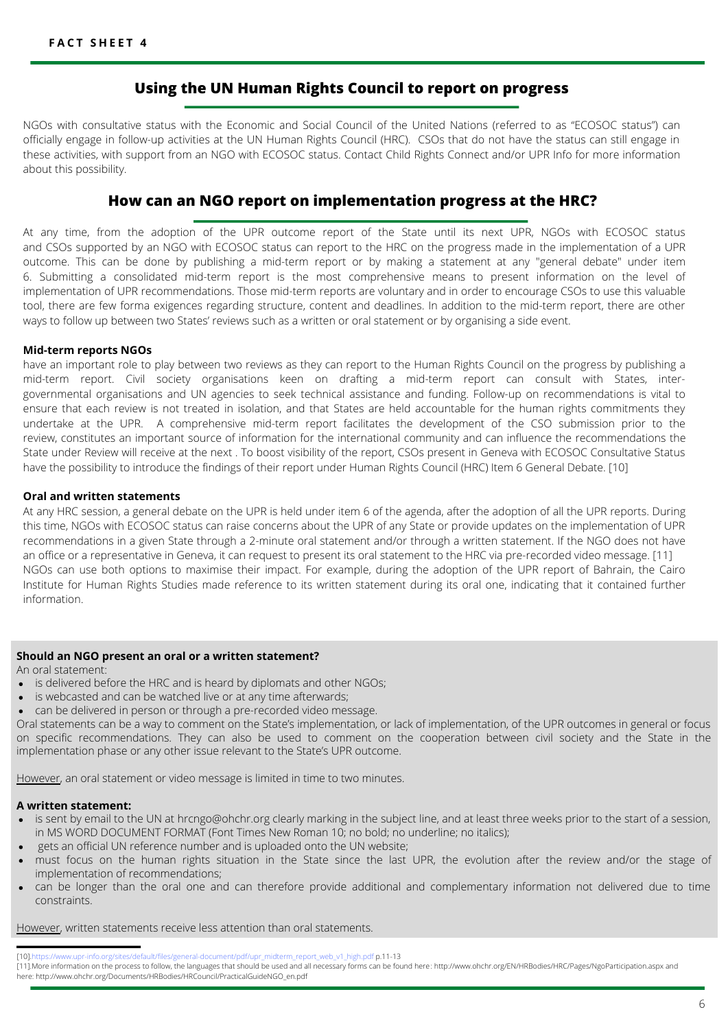# **Using the UN Human Rights Council to report on progress**

NGOs with consultative status with the Economic and Social Council of the United Nations (referred to as "ECOSOC status") can officially engage in follow-up activities at the UN Human Rights Council (HRC). CSOs that do not have the status can still engage in these activities, with support from an NGO with ECOSOC status. Contact Child Rights Connect and/or UPR Info for more information about this possibility.

# **How can an NGO report on implementation progress at the HRC?**

At any time, from the adoption of the UPR outcome report of the State until its next UPR, NGOs with ECOSOC status and CSOs supported by an NGO with ECOSOC status can report to the HRC on the progress made in the implementation of a UPR outcome. This can be done by publishing a mid-term report or by making a statement at any "general debate" under item 6. Submitting a consolidated mid-term report is the most comprehensive means to present information on the level of implementation of UPR recommendations. Those mid-term reports are voluntary and in order to encourage CSOs to use this valuable tool, there are few forma exigences regarding structure, content and deadlines. In addition to the mid-term report, there are other ways to follow up between two States' reviews such as a written or oral statement or by organising a side event.

### **Mid-term reports NGOs**

have an important role to play between two reviews as they can report to the Human Rights Council on the progress by publishing a mid-term report. Civil society organisations keen on drafting a mid-term report can consult with States, intergovernmental organisations and UN agencies to seek technical assistance and funding. Follow-up on recommendations is vital to ensure that each review is not treated in isolation, and that States are held accountable for the human rights commitments they undertake at the UPR. A comprehensive mid-term report facilitates the development of the CSO submission prior to the review, constitutes an important source of information for the international community and can influence the recommendations the State under Review will receive at the next . To boost visibility of the report, CSOs present in Geneva with ECOSOC Consultative Status have the possibility to introduce the findings of their report under Human Rights Council (HRC) Item 6 General Debate. [10]

#### **Oral and written statements**

At any HRC session, a general debate on the UPR is held under item 6 of the agenda, after the adoption of all the UPR reports. During this time, NGOs with ECOSOC status can raise concerns about the UPR of any State or provide updates on the implementation of UPR recommendations in a given State through a 2-minute oral statement and/or through a written statement. If the NGO does not have an office or a representative in Geneva, it can request to present its oral statement to the HRC via pre-recorded video message. [11] NGOs can use both options to maximise their impact. For example, during the adoption of the UPR report of Bahrain, the Cairo Institute for Human Rights Studies made reference to its written statement during its oral one, indicating that it contained further information.

#### **Should an NGO present an oral or a written statement?**

An oral statement:

- is delivered before the HRC and is heard by diplomats and other NGOs;
- is webcasted and can be watched live or at any time afterwards;
- can be delivered in person or through a pre-recorded video message.

Oral statements can be a way to comment on the State's implementation, or lack of implementation, of the UPR outcomes in general or focus on specific recommendations. They can also be used to comment on the cooperation between civil society and the State in the implementation phase or any other issue relevant to the State's UPR outcome.

However, an oral statement or video message is limited in time to two minutes.

#### **A written statement:**

- is sent by email to the UN at hrcngo@ohchr.org clearly marking in the subject line, and at least three weeks prior to the start of a session, in MS WORD DOCUMENT FORMAT (Font Times New Roman 10; no bold; no underline; no italics);
- gets an official UN reference number and is uploaded onto the UN website;
- must focus on the human rights situation in the State since the last UPR, the evolution after the review and/or the stage of implementation of recommendations;
- can be longer than the oral one and can therefore provide additional and complementary information not delivered due to time constraints.

However, written statements receive less attention than oral statements.

efault/files/general-document/pdf/upr\_midterm\_report\_web\_v1\_high.pdf p.11-13

<sup>[11].</sup>More information on the process to follow, the languages that should be used and all necessary forms can be found here : http://www.ohchr.org/EN/HRBodies/HRC/Pages/NgoParticipation.aspx and here: http://www.ohchr.org/Documents/HRBodies/HRCouncil/PracticalGuideNGO\_en.pdf